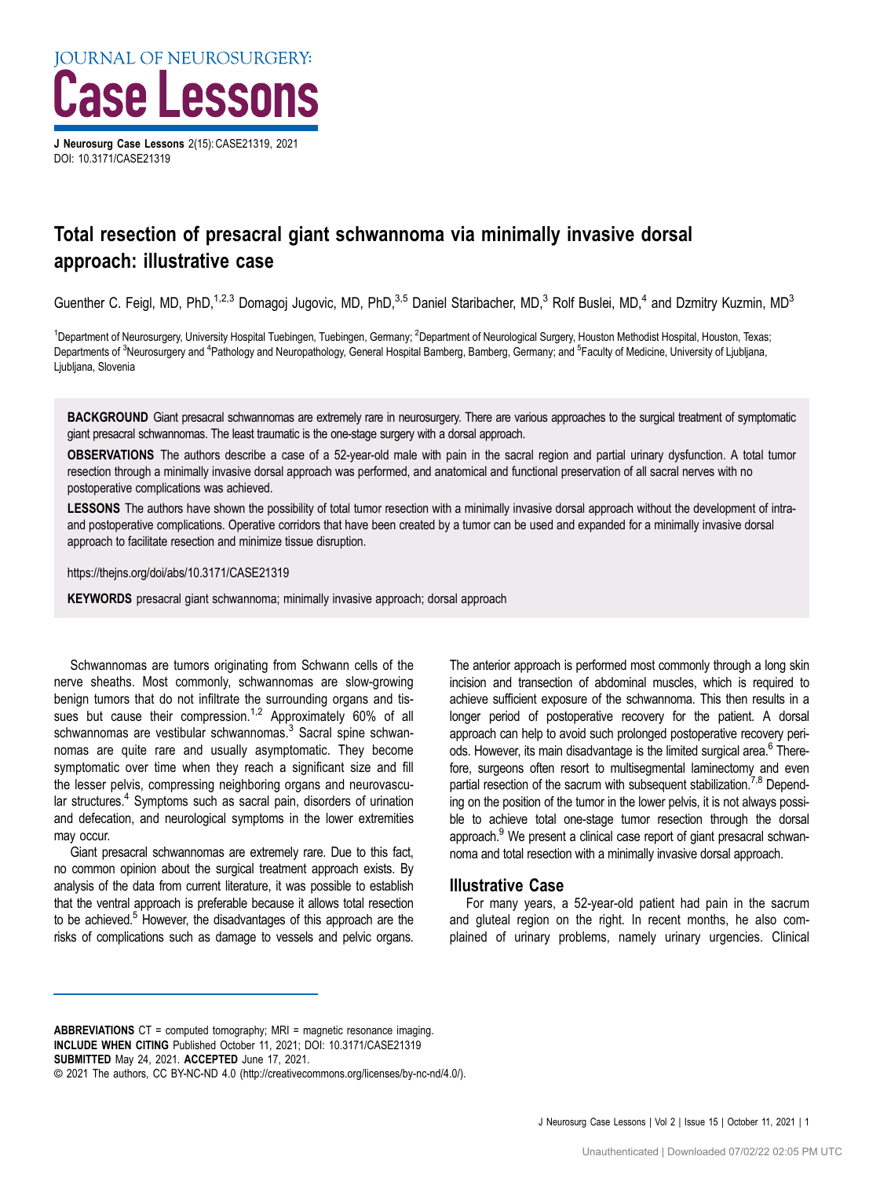J Neurosurg Case Lessons 2(15): CASE21319, 2021 DOI: [10.3171/CASE21319](https://doi.org/10.3171/CASE21319)

# Total resection of presacral giant schwannoma via minimally invasive dorsal approach: illustrative case

Guenther C. Feigl, MD, PhD,<sup>1,2,3</sup> Domagoj Jugovic, MD, PhD,<sup>3,5</sup> Daniel Staribacher, MD,<sup>3</sup> Rolf Buslei, MD,<sup>4</sup> and Dzmitry Kuzmin, MD<sup>3</sup>

<sup>1</sup>Department of Neurosurgery, University Hospital Tuebingen, Tuebingen, Germany; <sup>2</sup>Department of Neurological Surgery, Houston Methodist Hospital, Houston, Texas; Departments of <sup>3</sup>Neurosurgery and <sup>4</sup>Pathology and Neuropathology, General Hospital Bamberg, Bamberg, Germany; and <sup>5</sup>Faculty of Medicine, University of Ljubljana, Ljubljana, Slovenia

BACKGROUND Giant presacral schwannomas are extremely rare in neurosurgery. There are various approaches to the surgical treatment of symptomatic giant presacral schwannomas. The least traumatic is the one-stage surgery with a dorsal approach.

OBSERVATIONS The authors describe a case of a 52-year-old male with pain in the sacral region and partial urinary dysfunction. A total tumor resection through a minimally invasive dorsal approach was performed, and anatomical and functional preservation of all sacral nerves with no postoperative complications was achieved.

LESSONS The authors have shown the possibility of total tumor resection with a minimally invasive dorsal approach without the development of intraand postoperative complications. Operative corridors that have been created by a tumor can be used and expanded for a minimally invasive dorsal approach to facilitate resection and minimize tissue disruption.

https://thejns.org/doi/abs/10.3171/CASE21319

KEYWORDS presacral giant schwannoma; minimally invasive approach; dorsal approach

Schwannomas are tumors originating from Schwann cells of the nerve sheaths. Most commonly, schwannomas are slow-growing benign tumors that do not infiltrate the surrounding organs and tis-sues but cause their compression.<sup>[1,2](#page-3-0)</sup> Approximately 60% of all schwannomas are vestibular schwannomas.<sup>[3](#page-3-0)</sup> Sacral spine schwannomas are quite rare and usually asymptomatic. They become symptomatic over time when they reach a significant size and fill the lesser pelvis, compressing neighboring organs and neurovascu-lar structures.<sup>[4](#page-3-0)</sup> Symptoms such as sacral pain, disorders of urination and defecation, and neurological symptoms in the lower extremities may occur.

Giant presacral schwannomas are extremely rare. Due to this fact, no common opinion about the surgical treatment approach exists. By analysis of the data from current literature, it was possible to establish that the ventral approach is preferable because it allows total resection to be achieved.<sup>5</sup> However, the disadvantages of this approach are the risks of complications such as damage to vessels and pelvic organs.

The anterior approach is performed most commonly through a long skin incision and transection of abdominal muscles, which is required to achieve sufficient exposure of the schwannoma. This then results in a longer period of postoperative recovery for the patient. A dorsal approach can help to avoid such prolonged postoperative recovery peri-ods. However, its main disadvantage is the limited surgical area.<sup>[6](#page-3-0)</sup> Therefore, surgeons often resort to multisegmental laminectomy and even partial resection of the sacrum with subsequent stabilization.<sup>7,[8](#page-3-0)</sup> Depending on the position of the tumor in the lower pelvis, it is not always possible to achieve total one-stage tumor resection through the dorsal approach.<sup>9</sup> We present a clinical case report of giant presacral schwannoma and total resection with a minimally invasive dorsal approach.

# Illustrative Case

For many years, a 52-year-old patient had pain in the sacrum and gluteal region on the right. In recent months, he also complained of urinary problems, namely urinary urgencies. Clinical

ABBREVIATIONS CT = computed tomography; MRI = magnetic resonance imaging. INCLUDE WHEN CITING Published October 11, 2021; DOI: 10.3171/CASE21319

SUBMITTED May 24, 2021. ACCEPTED June 17, 2021.

<sup>©</sup> 2021 The authors, CC BY-NC-ND 4.0 ([http://creativecommons.org/licenses/by-nc-nd/4.0/\)](https://creativecommons.org/licenses/by-nc-nd/4.0/).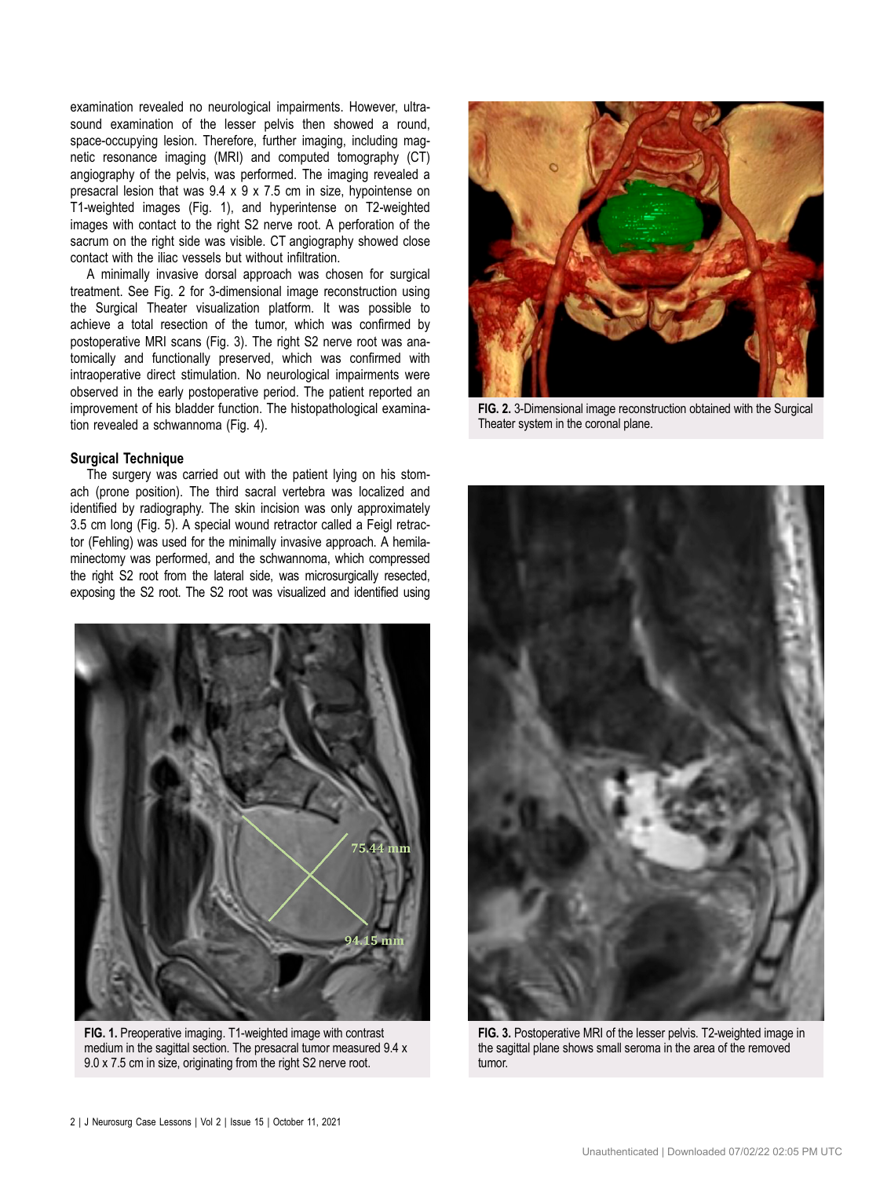examination revealed no neurological impairments. However, ultrasound examination of the lesser pelvis then showed a round, space-occupying lesion. Therefore, further imaging, including magnetic resonance imaging (MRI) and computed tomography (CT) angiography of the pelvis, was performed. The imaging revealed a presacral lesion that was 9.4 x 9 x 7.5 cm in size, hypointense on T1-weighted images (Fig. 1), and hyperintense on T2-weighted images with contact to the right S2 nerve root. A perforation of the sacrum on the right side was visible. CT angiography showed close contact with the iliac vessels but without infiltration.

A minimally invasive dorsal approach was chosen for surgical treatment. See Fig. 2 for 3-dimensional image reconstruction using the Surgical Theater visualization platform. It was possible to achieve a total resection of the tumor, which was confirmed by postoperative MRI scans (Fig. 3). The right S2 nerve root was anatomically and functionally preserved, which was confirmed with intraoperative direct stimulation. No neurological impairments were observed in the early postoperative period. The patient reported an improvement of his bladder function. The histopathological examination revealed a schwannoma [\(Fig. 4](#page-2-0)).

### Surgical Technique

The surgery was carried out with the patient lying on his stomach (prone position). The third sacral vertebra was localized and identified by radiography. The skin incision was only approximately 3.5 cm long ([Fig. 5\)](#page-2-0). A special wound retractor called a Feigl retractor (Fehling) was used for the minimally invasive approach. A hemilaminectomy was performed, and the schwannoma, which compressed the right S2 root from the lateral side, was microsurgically resected, exposing the S2 root. The S2 root was visualized and identified using



FIG. 1. Preoperative imaging. T1-weighted image with contrast medium in the sagittal section. The presacral tumor measured 9.4 x 9.0 x 7.5 cm in size, originating from the right S2 nerve root.



FIG. 2. 3-Dimensional image reconstruction obtained with the Surgical Theater system in the coronal plane.



FIG. 3. Postoperative MRI of the lesser pelvis. T2-weighted image in the sagittal plane shows small seroma in the area of the removed tumor.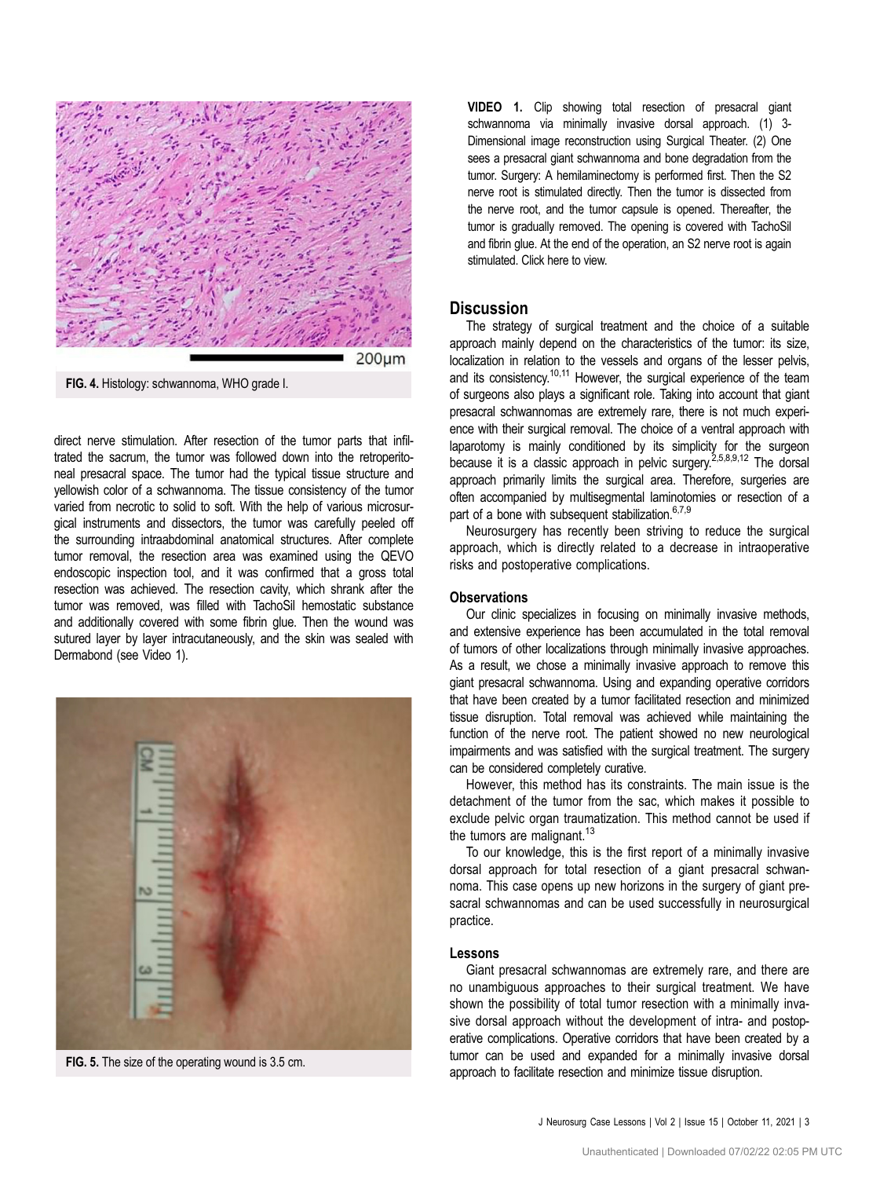<span id="page-2-0"></span>

FIG. 4. Histology: schwannoma, WHO grade I.

direct nerve stimulation. After resection of the tumor parts that infiltrated the sacrum, the tumor was followed down into the retroperitoneal presacral space. The tumor had the typical tissue structure and yellowish color of a schwannoma. The tissue consistency of the tumor varied from necrotic to solid to soft. With the help of various microsurgical instruments and dissectors, the tumor was carefully peeled off the surrounding intraabdominal anatomical structures. After complete tumor removal, the resection area was examined using the QEVO endoscopic inspection tool, and it was confirmed that a gross total resection was achieved. The resection cavity, which shrank after the tumor was removed, was filled with TachoSil hemostatic substance and additionally covered with some fibrin glue. Then the wound was sutured layer by layer intracutaneously, and the skin was sealed with Dermabond (see [Video 1\)](https://vimeo.com/566609287).



FIG. 5. The size of the operating wound is 3.5 cm.

VIDEO 1. Clip showing total resection of presacral giant schwannoma via minimally invasive dorsal approach. (1) 3- Dimensional image reconstruction using Surgical Theater. (2) One sees a presacral giant schwannoma and bone degradation from the tumor. Surgery: A hemilaminectomy is performed first. Then the S2 nerve root is stimulated directly. Then the tumor is dissected from the nerve root, and the tumor capsule is opened. Thereafter, the tumor is gradually removed. The opening is covered with TachoSil and fibrin glue. At the end of the operation, an S2 nerve root is again stimulated. Click [here](https://vimeo.com/566609287) to view.

# **Discussion**

The strategy of surgical treatment and the choice of a suitable approach mainly depend on the characteristics of the tumor: its size, localization in relation to the vessels and organs of the lesser pelvis, and its consistency.<sup>10,11</sup> However, the surgical experience of the team of surgeons also plays a significant role. Taking into account that giant presacral schwannomas are extremely rare, there is not much experience with their surgical removal. The choice of a ventral approach with laparotomy is mainly conditioned by its simplicity for the surgeon because it is a classic approach in pelvic surgery.<sup>2,5,8,9,[12](#page-3-0)</sup> The dorsal approach primarily limits the surgical area. Therefore, surgeries are often accompanied by multisegmental laminotomies or resection of a part of a bone with subsequent stabilization.<sup>6,[7,9](#page-3-0)</sup>

Neurosurgery has recently been striving to reduce the surgical approach, which is directly related to a decrease in intraoperative risks and postoperative complications.

### **Observations**

Our clinic specializes in focusing on minimally invasive methods, and extensive experience has been accumulated in the total removal of tumors of other localizations through minimally invasive approaches. As a result, we chose a minimally invasive approach to remove this giant presacral schwannoma. Using and expanding operative corridors that have been created by a tumor facilitated resection and minimized tissue disruption. Total removal was achieved while maintaining the function of the nerve root. The patient showed no new neurological impairments and was satisfied with the surgical treatment. The surgery can be considered completely curative.

However, this method has its constraints. The main issue is the detachment of the tumor from the sac, which makes it possible to exclude pelvic organ traumatization. This method cannot be used if the tumors are malignant. $13$ 

To our knowledge, this is the first report of a minimally invasive dorsal approach for total resection of a giant presacral schwannoma. This case opens up new horizons in the surgery of giant presacral schwannomas and can be used successfully in neurosurgical practice.

#### Lessons

Giant presacral schwannomas are extremely rare, and there are no unambiguous approaches to their surgical treatment. We have shown the possibility of total tumor resection with a minimally invasive dorsal approach without the development of intra- and postoperative complications. Operative corridors that have been created by a tumor can be used and expanded for a minimally invasive dorsal approach to facilitate resection and minimize tissue disruption.